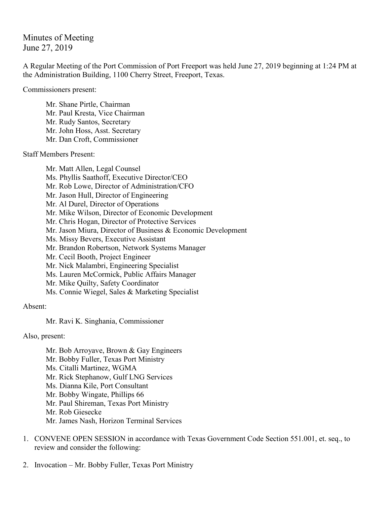Minutes of Meeting June 27, 2019

A Regular Meeting of the Port Commission of Port Freeport was held June 27, 2019 beginning at 1:24 PM at the Administration Building, 1100 Cherry Street, Freeport, Texas.

Commissioners present:

Mr. Shane Pirtle, Chairman Mr. Paul Kresta, Vice Chairman Mr. Rudy Santos, Secretary Mr. John Hoss, Asst. Secretary Mr. Dan Croft, Commissioner

Staff Members Present:

Mr. Matt Allen, Legal Counsel Ms. Phyllis Saathoff, Executive Director/CEO Mr. Rob Lowe, Director of Administration/CFO Mr. Jason Hull, Director of Engineering Mr. Al Durel, Director of Operations Mr. Mike Wilson, Director of Economic Development Mr. Chris Hogan, Director of Protective Services Mr. Jason Miura, Director of Business & Economic Development Ms. Missy Bevers, Executive Assistant Mr. Brandon Robertson, Network Systems Manager Mr. Cecil Booth, Project Engineer Mr. Nick Malambri, Engineering Specialist Ms. Lauren McCormick, Public Affairs Manager Mr. Mike Quilty, Safety Coordinator Ms. Connie Wiegel, Sales & Marketing Specialist

Absent:

Mr. Ravi K. Singhania, Commissioner

Also, present:

Mr. Bob Arroyave, Brown & Gay Engineers Mr. Bobby Fuller, Texas Port Ministry Ms. Citalli Martinez, WGMA Mr. Rick Stephanow, Gulf LNG Services Ms. Dianna Kile, Port Consultant Mr. Bobby Wingate, Phillips 66 Mr. Paul Shireman, Texas Port Ministry Mr. Rob Giesecke Mr. James Nash, Horizon Terminal Services

- 1. CONVENE OPEN SESSION in accordance with Texas Government Code Section 551.001, et. seq., to review and consider the following:
- 2. Invocation Mr. Bobby Fuller, Texas Port Ministry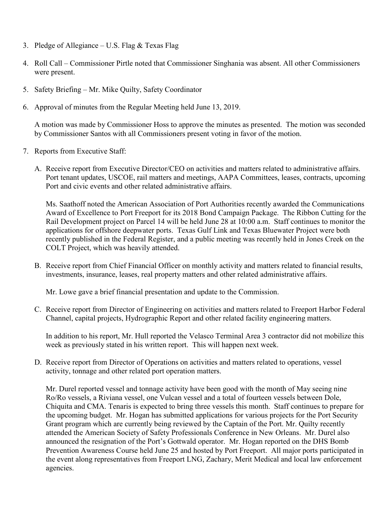- 3. Pledge of Allegiance U.S. Flag  $&$  Texas Flag
- 4. Roll Call Commissioner Pirtle noted that Commissioner Singhania was absent. All other Commissioners were present.
- 5. Safety Briefing Mr. Mike Quilty, Safety Coordinator
- 6. Approval of minutes from the Regular Meeting held June 13, 2019.

A motion was made by Commissioner Hoss to approve the minutes as presented. The motion was seconded by Commissioner Santos with all Commissioners present voting in favor of the motion.

- 7. Reports from Executive Staff:
	- A. Receive report from Executive Director/CEO on activities and matters related to administrative affairs. Port tenant updates, USCOE, rail matters and meetings, AAPA Committees, leases, contracts, upcoming Port and civic events and other related administrative affairs.

Ms. Saathoff noted the American Association of Port Authorities recently awarded the Communications Award of Excellence to Port Freeport for its 2018 Bond Campaign Package. The Ribbon Cutting for the Rail Development project on Parcel 14 will be held June 28 at 10:00 a.m. Staff continues to monitor the applications for offshore deepwater ports. Texas Gulf Link and Texas Bluewater Project were both recently published in the Federal Register, and a public meeting was recently held in Jones Creek on the COLT Project, which was heavily attended.

B. Receive report from Chief Financial Officer on monthly activity and matters related to financial results, investments, insurance, leases, real property matters and other related administrative affairs.

Mr. Lowe gave a brief financial presentation and update to the Commission.

C. Receive report from Director of Engineering on activities and matters related to Freeport Harbor Federal Channel, capital projects, Hydrographic Report and other related facility engineering matters.

In addition to his report, Mr. Hull reported the Velasco Terminal Area 3 contractor did not mobilize this week as previously stated in his written report. This will happen next week.

D. Receive report from Director of Operations on activities and matters related to operations, vessel activity, tonnage and other related port operation matters.

Mr. Durel reported vessel and tonnage activity have been good with the month of May seeing nine Ro/Ro vessels, a Riviana vessel, one Vulcan vessel and a total of fourteen vessels between Dole, Chiquita and CMA. Tenaris is expected to bring three vessels this month. Staff continues to prepare for the upcoming budget. Mr. Hogan has submitted applications for various projects for the Port Security Grant program which are currently being reviewed by the Captain of the Port. Mr. Quilty recently attended the American Society of Safety Professionals Conference in New Orleans. Mr. Durel also announced the resignation of the Port's Gottwald operator. Mr. Hogan reported on the DHS Bomb Prevention Awareness Course held June 25 and hosted by Port Freeport. All major ports participated in the event along representatives from Freeport LNG, Zachary, Merit Medical and local law enforcement agencies.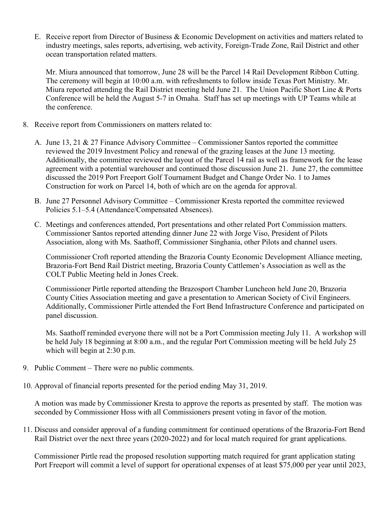E. Receive report from Director of Business & Economic Development on activities and matters related to industry meetings, sales reports, advertising, web activity, Foreign-Trade Zone, Rail District and other ocean transportation related matters.

Mr. Miura announced that tomorrow, June 28 will be the Parcel 14 Rail Development Ribbon Cutting. The ceremony will begin at 10:00 a.m. with refreshments to follow inside Texas Port Ministry. Mr. Miura reported attending the Rail District meeting held June 21. The Union Pacific Short Line & Ports Conference will be held the August 5-7 in Omaha. Staff has set up meetings with UP Teams while at the conference.

- 8. Receive report from Commissioners on matters related to:
	- A. June 13, 21 & 27 Finance Advisory Committee Commissioner Santos reported the committee reviewed the 2019 Investment Policy and renewal of the grazing leases at the June 13 meeting. Additionally, the committee reviewed the layout of the Parcel 14 rail as well as framework for the lease agreement with a potential warehouser and continued those discussion June 21. June 27, the committee discussed the 2019 Port Freeport Golf Tournament Budget and Change Order No. 1 to James Construction for work on Parcel 14, both of which are on the agenda for approval.
	- B. June 27 Personnel Advisory Committee Commissioner Kresta reported the committee reviewed Policies 5.1–5.4 (Attendance/Compensated Absences).
	- C. Meetings and conferences attended, Port presentations and other related Port Commission matters. Commissioner Santos reported attending dinner June 22 with Jorge Viso, President of Pilots Association, along with Ms. Saathoff, Commissioner Singhania, other Pilots and channel users.

Commissioner Croft reported attending the Brazoria County Economic Development Alliance meeting, Brazoria-Fort Bend Rail District meeting, Brazoria County Cattlemen's Association as well as the COLT Public Meeting held in Jones Creek.

Commissioner Pirtle reported attending the Brazosport Chamber Luncheon held June 20, Brazoria County Cities Association meeting and gave a presentation to American Society of Civil Engineers. Additionally, Commissioner Pirtle attended the Fort Bend Infrastructure Conference and participated on panel discussion.

Ms. Saathoff reminded everyone there will not be a Port Commission meeting July 11. A workshop will be held July 18 beginning at 8:00 a.m., and the regular Port Commission meeting will be held July 25 which will begin at 2:30 p.m.

- 9. Public Comment There were no public comments.
- 10. Approval of financial reports presented for the period ending May 31, 2019.

A motion was made by Commissioner Kresta to approve the reports as presented by staff. The motion was seconded by Commissioner Hoss with all Commissioners present voting in favor of the motion.

11. Discuss and consider approval of a funding commitment for continued operations of the Brazoria-Fort Bend Rail District over the next three years (2020-2022) and for local match required for grant applications.

Commissioner Pirtle read the proposed resolution supporting match required for grant application stating Port Freeport will commit a level of support for operational expenses of at least \$75,000 per year until 2023,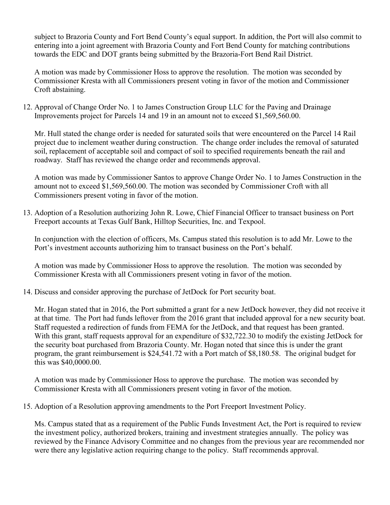subject to Brazoria County and Fort Bend County's equal support. In addition, the Port will also commit to entering into a joint agreement with Brazoria County and Fort Bend County for matching contributions towards the EDC and DOT grants being submitted by the Brazoria-Fort Bend Rail District.

A motion was made by Commissioner Hoss to approve the resolution. The motion was seconded by Commissioner Kresta with all Commissioners present voting in favor of the motion and Commissioner Croft abstaining.

12. Approval of Change Order No. 1 to James Construction Group LLC for the Paving and Drainage Improvements project for Parcels 14 and 19 in an amount not to exceed \$1,569,560.00.

Mr. Hull stated the change order is needed for saturated soils that were encountered on the Parcel 14 Rail project due to inclement weather during construction. The change order includes the removal of saturated soil, replacement of acceptable soil and compact of soil to specified requirements beneath the rail and roadway. Staff has reviewed the change order and recommends approval.

A motion was made by Commissioner Santos to approve Change Order No. 1 to James Construction in the amount not to exceed \$1,569,560.00. The motion was seconded by Commissioner Croft with all Commissioners present voting in favor of the motion.

13. Adoption of a Resolution authorizing John R. Lowe, Chief Financial Officer to transact business on Port Freeport accounts at Texas Gulf Bank, Hilltop Securities, Inc. and Texpool.

In conjunction with the election of officers, Ms. Campus stated this resolution is to add Mr. Lowe to the Port's investment accounts authorizing him to transact business on the Port's behalf.

A motion was made by Commissioner Hoss to approve the resolution. The motion was seconded by Commissioner Kresta with all Commissioners present voting in favor of the motion.

14. Discuss and consider approving the purchase of JetDock for Port security boat.

Mr. Hogan stated that in 2016, the Port submitted a grant for a new JetDock however, they did not receive it at that time. The Port had funds leftover from the 2016 grant that included approval for a new security boat. Staff requested a redirection of funds from FEMA for the JetDock, and that request has been granted. With this grant, staff requests approval for an expenditure of \$32,722.30 to modify the existing JetDock for the security boat purchased from Brazoria County. Mr. Hogan noted that since this is under the grant program, the grant reimbursement is \$24,541.72 with a Port match of \$8,180.58. The original budget for this was \$40,0000.00.

A motion was made by Commissioner Hoss to approve the purchase. The motion was seconded by Commissioner Kresta with all Commissioners present voting in favor of the motion.

15. Adoption of a Resolution approving amendments to the Port Freeport Investment Policy.

Ms. Campus stated that as a requirement of the Public Funds Investment Act, the Port is required to review the investment policy, authorized brokers, training and investment strategies annually. The policy was reviewed by the Finance Advisory Committee and no changes from the previous year are recommended nor were there any legislative action requiring change to the policy. Staff recommends approval.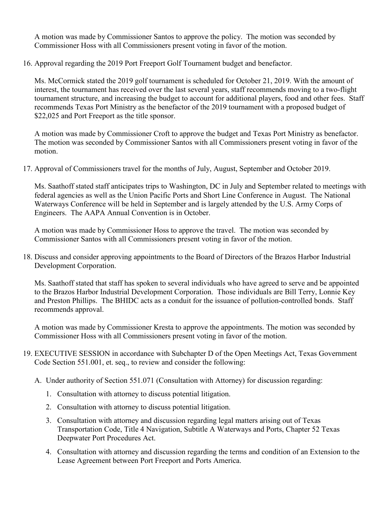A motion was made by Commissioner Santos to approve the policy. The motion was seconded by Commissioner Hoss with all Commissioners present voting in favor of the motion.

16. Approval regarding the 2019 Port Freeport Golf Tournament budget and benefactor.

Ms. McCormick stated the 2019 golf tournament is scheduled for October 21, 2019. With the amount of interest, the tournament has received over the last several years, staff recommends moving to a two-flight tournament structure, and increasing the budget to account for additional players, food and other fees. Staff recommends Texas Port Ministry as the benefactor of the 2019 tournament with a proposed budget of \$22,025 and Port Freeport as the title sponsor.

A motion was made by Commissioner Croft to approve the budget and Texas Port Ministry as benefactor. The motion was seconded by Commissioner Santos with all Commissioners present voting in favor of the motion.

17. Approval of Commissioners travel for the months of July, August, September and October 2019.

Ms. Saathoff stated staff anticipates trips to Washington, DC in July and September related to meetings with federal agencies as well as the Union Pacific Ports and Short Line Conference in August. The National Waterways Conference will be held in September and is largely attended by the U.S. Army Corps of Engineers. The AAPA Annual Convention is in October.

A motion was made by Commissioner Hoss to approve the travel. The motion was seconded by Commissioner Santos with all Commissioners present voting in favor of the motion.

18. Discuss and consider approving appointments to the Board of Directors of the Brazos Harbor Industrial Development Corporation.

Ms. Saathoff stated that staff has spoken to several individuals who have agreed to serve and be appointed to the Brazos Harbor Industrial Development Corporation. Those individuals are Bill Terry, Lonnie Key and Preston Phillips. The BHIDC acts as a conduit for the issuance of pollution-controlled bonds. Staff recommends approval.

A motion was made by Commissioner Kresta to approve the appointments. The motion was seconded by Commissioner Hoss with all Commissioners present voting in favor of the motion.

- 19. EXECUTIVE SESSION in accordance with Subchapter D of the Open Meetings Act, Texas Government Code Section 551.001, et. seq., to review and consider the following:
	- A. Under authority of Section 551.071 (Consultation with Attorney) for discussion regarding:
		- 1. Consultation with attorney to discuss potential litigation.
		- 2. Consultation with attorney to discuss potential litigation.
		- 3. Consultation with attorney and discussion regarding legal matters arising out of Texas Transportation Code, Title 4 Navigation, Subtitle A Waterways and Ports, Chapter 52 Texas Deepwater Port Procedures Act.
		- 4. Consultation with attorney and discussion regarding the terms and condition of an Extension to the Lease Agreement between Port Freeport and Ports America.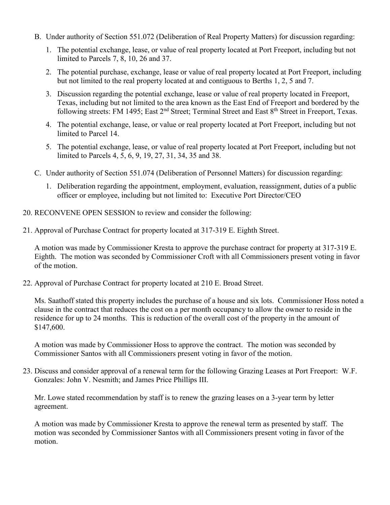- B. Under authority of Section 551.072 (Deliberation of Real Property Matters) for discussion regarding:
	- 1. The potential exchange, lease, or value of real property located at Port Freeport, including but not limited to Parcels 7, 8, 10, 26 and 37.
	- 2. The potential purchase, exchange, lease or value of real property located at Port Freeport, including but not limited to the real property located at and contiguous to Berths 1, 2, 5 and 7.
	- 3. Discussion regarding the potential exchange, lease or value of real property located in Freeport, Texas, including but not limited to the area known as the East End of Freeport and bordered by the following streets: FM 1495; East 2<sup>nd</sup> Street; Terminal Street and East 8<sup>th</sup> Street in Freeport, Texas.
	- 4. The potential exchange, lease, or value or real property located at Port Freeport, including but not limited to Parcel 14.
	- 5. The potential exchange, lease, or value of real property located at Port Freeport, including but not limited to Parcels 4, 5, 6, 9, 19, 27, 31, 34, 35 and 38.
- C. Under authority of Section 551.074 (Deliberation of Personnel Matters) for discussion regarding:
	- 1. Deliberation regarding the appointment, employment, evaluation, reassignment, duties of a public officer or employee, including but not limited to: Executive Port Director/CEO
- 20. RECONVENE OPEN SESSION to review and consider the following:
- 21. Approval of Purchase Contract for property located at 317-319 E. Eighth Street.

A motion was made by Commissioner Kresta to approve the purchase contract for property at 317-319 E. Eighth. The motion was seconded by Commissioner Croft with all Commissioners present voting in favor of the motion.

22. Approval of Purchase Contract for property located at 210 E. Broad Street.

Ms. Saathoff stated this property includes the purchase of a house and six lots. Commissioner Hoss noted a clause in the contract that reduces the cost on a per month occupancy to allow the owner to reside in the residence for up to 24 months. This is reduction of the overall cost of the property in the amount of \$147,600.

A motion was made by Commissioner Hoss to approve the contract. The motion was seconded by Commissioner Santos with all Commissioners present voting in favor of the motion.

23. Discuss and consider approval of a renewal term for the following Grazing Leases at Port Freeport: W.F. Gonzales: John V. Nesmith; and James Price Phillips III.

Mr. Lowe stated recommendation by staff is to renew the grazing leases on a 3-year term by letter agreement.

A motion was made by Commissioner Kresta to approve the renewal term as presented by staff. The motion was seconded by Commissioner Santos with all Commissioners present voting in favor of the motion.